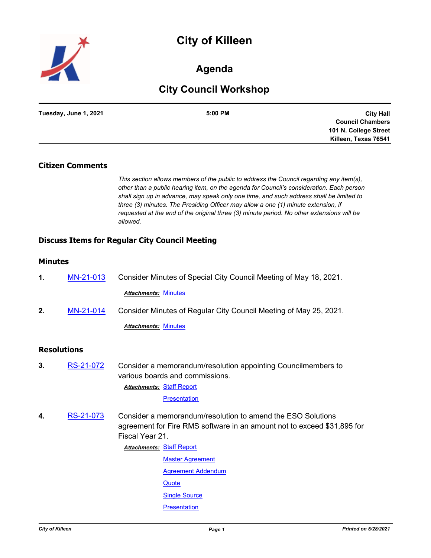# **City of Killeen**



# **Agenda**

# **City Council Workshop**

| Tuesday, June 1, 2021 | 5:00 PM | <b>City Hall</b>        |
|-----------------------|---------|-------------------------|
|                       |         | <b>Council Chambers</b> |
|                       |         | 101 N. College Street   |
|                       |         | Killeen, Texas 76541    |

## **Citizen Comments**

*This section allows members of the public to address the Council regarding any item(s), other than a public hearing item, on the agenda for Council's consideration. Each person shall sign up in advance, may speak only one time, and such address shall be limited to three (3) minutes. The Presiding Officer may allow a one (1) minute extension, if requested at the end of the original three (3) minute period. No other extensions will be allowed.*

## **Discuss Items for Regular City Council Meeting**

# **Minutes**

| $\mathbf 1$ . | MN-21-013 | Consider Minutes of Special City Council Meeting of May 18, 2021. |
|---------------|-----------|-------------------------------------------------------------------|
|               |           | Attachments: Minutes                                              |
|               |           |                                                                   |

**2.** [MN-21-014](http://killeen.legistar.com/gateway.aspx?m=l&id=/matter.aspx?key=5497) Consider Minutes of Regular City Council Meeting of May 25, 2021.

*Attachments:* [Minutes](http://killeen.legistar.com/gateway.aspx?M=F&ID=0e5b0045-4dc5-45c4-9157-c1a0845f9360.pdf)

#### **Resolutions**

**3.** [RS-21-072](http://killeen.legistar.com/gateway.aspx?m=l&id=/matter.aspx?key=5495) Consider a memorandum/resolution appointing Councilmembers to various boards and commissions.

**Attachments: [Staff Report](http://killeen.legistar.com/gateway.aspx?M=F&ID=d8daf060-6e6e-4682-a978-22c99e7c393d.pdf)** 

#### **[Presentation](http://killeen.legistar.com/gateway.aspx?M=F&ID=a1aad476-266c-48e7-b051-ddd62d0567d9.pdf)**

**4.** [RS-21-073](http://killeen.legistar.com/gateway.aspx?m=l&id=/matter.aspx?key=5481) Consider a memorandum/resolution to amend the ESO Solutions agreement for Fire RMS software in an amount not to exceed \$31,895 for Fiscal Year 21.

**Attachments: [Staff Report](http://killeen.legistar.com/gateway.aspx?M=F&ID=dd04ffc4-312f-4202-9f32-87492a0ea9c2.pdf)** 

[Master Agreement](http://killeen.legistar.com/gateway.aspx?M=F&ID=e49d0f85-d2a0-4fa7-89fc-c4c3757707a3.pdf) [Agreement Addendum](http://killeen.legistar.com/gateway.aspx?M=F&ID=4b385174-706b-4e7f-9974-a6a5c3a8f746.pdf) **[Quote](http://killeen.legistar.com/gateway.aspx?M=F&ID=fccd0f2a-220b-4689-a7aa-77df980c47c3.pdf) [Single Source](http://killeen.legistar.com/gateway.aspx?M=F&ID=00363788-8ee0-4a2e-8e03-c2e28591657a.pdf) [Presentation](http://killeen.legistar.com/gateway.aspx?M=F&ID=d4a2440e-3714-47d9-aa7a-4cd87311c28f.pdf)**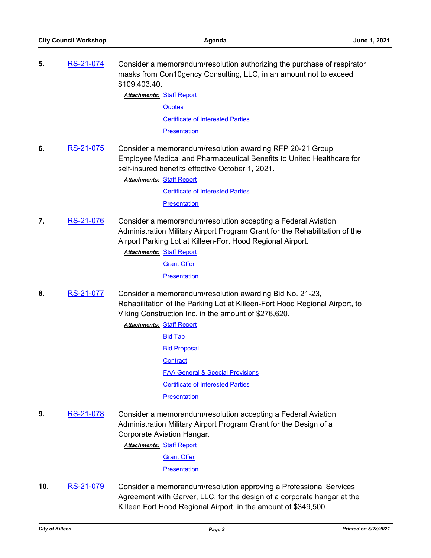**5.** [RS-21-074](http://killeen.legistar.com/gateway.aspx?m=l&id=/matter.aspx?key=5489) Consider a memorandum/resolution authorizing the purchase of respirator masks from Con10gency Consulting, LLC, in an amount not to exceed \$109,403.40.

**Attachments: [Staff Report](http://killeen.legistar.com/gateway.aspx?M=F&ID=82f59133-1eb7-4b7e-8f0e-e73255740815.pdf)** 

**[Quotes](http://killeen.legistar.com/gateway.aspx?M=F&ID=17fd087f-a521-499b-939d-fc74ceb3c465.pdf)** 

[Certificate of Interested Parties](http://killeen.legistar.com/gateway.aspx?M=F&ID=d20dfbfa-b1f8-4965-bd4c-b75d83faa333.pdf)

**[Presentation](http://killeen.legistar.com/gateway.aspx?M=F&ID=e7d17bf0-5516-454e-a428-f553a0863e2f.pdf)** 

**6.** [RS-21-075](http://killeen.legistar.com/gateway.aspx?m=l&id=/matter.aspx?key=5475) Consider a memorandum/resolution awarding RFP 20-21 Group Employee Medical and Pharmaceutical Benefits to United Healthcare for self-insured benefits effective October 1, 2021.

**Attachments: [Staff Report](http://killeen.legistar.com/gateway.aspx?M=F&ID=af3b75d9-d035-45d2-a008-2655862d721d.pdf)** 

[Certificate of Interested Parties](http://killeen.legistar.com/gateway.aspx?M=F&ID=561e26f0-55e1-411a-a0d3-d8a9eec66e95.pdf) **[Presentation](http://killeen.legistar.com/gateway.aspx?M=F&ID=4e7ac488-2385-41e2-a94a-32412b66140d.pdf)** 

**7.** [RS-21-076](http://killeen.legistar.com/gateway.aspx?m=l&id=/matter.aspx?key=5444) Consider a memorandum/resolution accepting a Federal Aviation Administration Military Airport Program Grant for the Rehabilitation of the Airport Parking Lot at Killeen-Fort Hood Regional Airport.

[Staff Report](http://killeen.legistar.com/gateway.aspx?M=F&ID=0ac769c1-59c6-4cd1-b8c4-07bb952f41d5.pdf) *Attachments:*

[Grant Offer](http://killeen.legistar.com/gateway.aspx?M=F&ID=4fb1c8bd-1cf0-4e2d-9cad-5eafcd5a1da8.pdf)

**[Presentation](http://killeen.legistar.com/gateway.aspx?M=F&ID=693f0b69-bd81-4bc2-a1bc-874a8c33098c.pdf)** 

- **8.** [RS-21-077](http://killeen.legistar.com/gateway.aspx?m=l&id=/matter.aspx?key=5445) Consider a memorandum/resolution awarding Bid No. 21-23, Rehabilitation of the Parking Lot at Killeen-Fort Hood Regional Airport, to Viking Construction Inc. in the amount of \$276,620.
	- **Attachments: [Staff Report](http://killeen.legistar.com/gateway.aspx?M=F&ID=e4c35939-ae65-49e1-8816-708fce017e2f.pdf)** [Bid Tab](http://killeen.legistar.com/gateway.aspx?M=F&ID=2f5f4221-263d-453b-9ef2-20ffbafcc120.pdf) [Bid Proposal](http://killeen.legistar.com/gateway.aspx?M=F&ID=4a36e5cf-0d14-4c1d-b63a-277878ec4a40.pdf) **[Contract](http://killeen.legistar.com/gateway.aspx?M=F&ID=7df51b2e-08f8-4c0b-b64b-0e59f9f3885b.pdf)** [FAA General & Special Provisions](http://killeen.legistar.com/gateway.aspx?M=F&ID=bc1ab541-ac55-4a34-a3f1-40560a51a61c.pdf) [Certificate of Interested Parties](http://killeen.legistar.com/gateway.aspx?M=F&ID=ef7bcc00-0c94-4dd7-8fc7-e800b57ff0eb.pdf) **[Presentation](http://killeen.legistar.com/gateway.aspx?M=F&ID=2aaba5a5-2325-4ad1-8da7-6e430fb62553.pdf)**
- **9.** [RS-21-078](http://killeen.legistar.com/gateway.aspx?m=l&id=/matter.aspx?key=5446) Consider a memorandum/resolution accepting a Federal Aviation Administration Military Airport Program Grant for the Design of a Corporate Aviation Hangar.

**Attachments: [Staff Report](http://killeen.legistar.com/gateway.aspx?M=F&ID=7b38e5ff-9f2d-4843-a388-1925372eca6d.pdf)** 

[Grant Offer](http://killeen.legistar.com/gateway.aspx?M=F&ID=f16eb46d-6b71-4eab-94b2-814f07df685f.pdf)

**[Presentation](http://killeen.legistar.com/gateway.aspx?M=F&ID=5b59f72f-3611-4a6b-ad61-21810fa9d84e.pdf)** 

**10.** [RS-21-079](http://killeen.legistar.com/gateway.aspx?m=l&id=/matter.aspx?key=5447) Consider a memorandum/resolution approving a Professional Services Agreement with Garver, LLC, for the design of a corporate hangar at the Killeen Fort Hood Regional Airport, in the amount of \$349,500.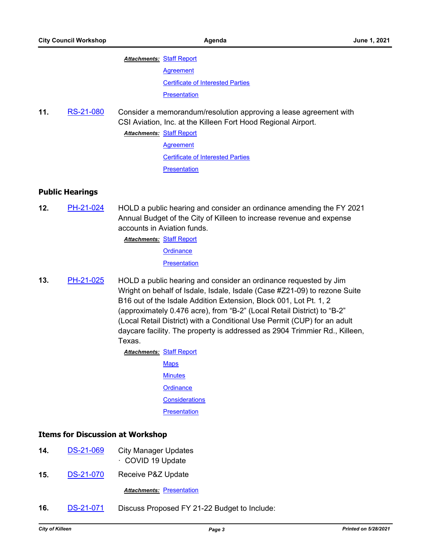# **Attachments: [Staff Report](http://killeen.legistar.com/gateway.aspx?M=F&ID=5351ee02-6db7-4820-8209-7993a21aa0d2.pdf) [Agreement](http://killeen.legistar.com/gateway.aspx?M=F&ID=4bb3c344-8fd6-49cc-b425-c91b9826533b.pdf)** [Certificate of Interested Parties](http://killeen.legistar.com/gateway.aspx?M=F&ID=50f2d9f7-0193-4284-9760-ee5ce846a692.pdf)

**[Presentation](http://killeen.legistar.com/gateway.aspx?M=F&ID=b09d60a1-7182-403d-b89b-d7c9ff33fd67.pdf)** 

**11.** [RS-21-080](http://killeen.legistar.com/gateway.aspx?m=l&id=/matter.aspx?key=5467) Consider a memorandum/resolution approving a lease agreement with CSI Aviation, Inc. at the Killeen Fort Hood Regional Airport. **Attachments: [Staff Report](http://killeen.legistar.com/gateway.aspx?M=F&ID=60cbc5ed-add1-4dd3-87ca-cc49094655b7.pdf)** 

**[Agreement](http://killeen.legistar.com/gateway.aspx?M=F&ID=0d4f8649-6ce0-47d3-ba4a-60c2b2c407c0.pdf)** [Certificate of Interested Parties](http://killeen.legistar.com/gateway.aspx?M=F&ID=16a2e257-5322-4755-bb0a-eb0a36a6963a.pdf) **[Presentation](http://killeen.legistar.com/gateway.aspx?M=F&ID=603f3dfe-4da4-4d0b-9e23-3c998263d8dc.pdf)** 

# **Public Hearings**

**12.** [PH-21-024](http://killeen.legistar.com/gateway.aspx?m=l&id=/matter.aspx?key=5474) HOLD a public hearing and consider an ordinance amending the FY 2021 Annual Budget of the City of Killeen to increase revenue and expense accounts in Aviation funds.

**Attachments: [Staff Report](http://killeen.legistar.com/gateway.aspx?M=F&ID=422a6893-6f05-475b-8865-c5f3aeee13d1.pdf)** 

**[Ordinance](http://killeen.legistar.com/gateway.aspx?M=F&ID=0faa04e3-c157-4a5f-bf38-cc9652f520e8.pdf)** 

**[Presentation](http://killeen.legistar.com/gateway.aspx?M=F&ID=09a6cf39-8e92-4284-9ab5-dc744384a69c.pdf)** 

**13.** [PH-21-025](http://killeen.legistar.com/gateway.aspx?m=l&id=/matter.aspx?key=5488) HOLD a public hearing and consider an ordinance requested by Jim Wright on behalf of Isdale, Isdale, Isdale (Case #Z21-09) to rezone Suite B16 out of the Isdale Addition Extension, Block 001, Lot Pt. 1, 2 (approximately 0.476 acre), from "B-2" (Local Retail District) to "B-2" (Local Retail District) with a Conditional Use Permit (CUP) for an adult daycare facility. The property is addressed as 2904 Trimmier Rd., Killeen, Texas.

[Staff Report](http://killeen.legistar.com/gateway.aspx?M=F&ID=67c1f350-a30a-494c-b043-a81cb85d5ed3.pdf) *Attachments:*

**[Maps](http://killeen.legistar.com/gateway.aspx?M=F&ID=0999328e-efcd-41b8-a4b2-a1e3a5a746d0.pdf) [Minutes](http://killeen.legistar.com/gateway.aspx?M=F&ID=da93f915-527e-4982-80df-a88984111151.pdf)** 

**[Ordinance](http://killeen.legistar.com/gateway.aspx?M=F&ID=0c152eca-edd9-4a11-937a-cbdd80f8fe18.pdf)** 

**[Considerations](http://killeen.legistar.com/gateway.aspx?M=F&ID=9e6ca8c5-59c7-43a2-9d8d-41203fc2f7a8.pdf)** 

**[Presentation](http://killeen.legistar.com/gateway.aspx?M=F&ID=c1bcfdb0-db8d-43b3-a354-8a3233c14a16.pdf)** 

# **Items for Discussion at Workshop**

- **14.** [DS-21-069](http://killeen.legistar.com/gateway.aspx?m=l&id=/matter.aspx?key=5499) City Manager Updates
	- · COVID 19 Update
- **15.** [DS-21-070](http://killeen.legistar.com/gateway.aspx?m=l&id=/matter.aspx?key=5493) Receive P&Z Update

**Attachments: [Presentation](http://killeen.legistar.com/gateway.aspx?M=F&ID=25d58850-9ad5-4b8b-939e-0d9ce8645ead.pdf)** 

**16.** [DS-21-071](http://killeen.legistar.com/gateway.aspx?m=l&id=/matter.aspx?key=5490) Discuss Proposed FY 21-22 Budget to Include: